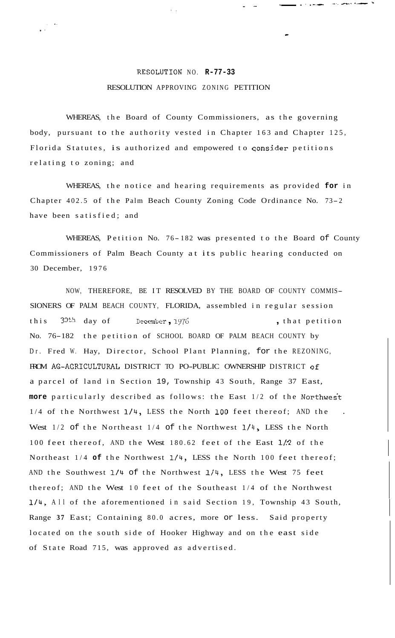## **RESOLUTION NO. R-77-33** RESOLUTION APPROVING ZONING PETITION

-.

, \_\_- -. ..- .- . -

-

, **I.**  , *I'* 

WHEREAS, the Board of County Commissioners, as the governing body, pursuant to the authority vested in Chapter 163 and Chapter 125, Florida Statutes, is authorized and empowered to qonsider petitions relating to zoning; and

WHEREAS, the notice and hearing requirements as provided **for** in Chapter 402.5 of the Palm Beach County Zoning Code Ordinance No. 73-2 have been satisfied; and

WHEREAS, Petition No. 76-182 was presented to the Board of County Commissioners of Palm Beach County at its public hearing conducted on 30 December, 1976

NOW, THEREFORE, BE IT RESOLVED BY THE BOARD OF COUNTY COMMIS-SIONERS OF PALM BEACH COUNTY, FLORIDA, assembled in regular session this 30th day of December, 1976, that petition No. 76-182 the petition of SCHOOL BOARD OF PALM BEACH COUNTY by Dr. Fred W. Hay, Director, School Plant Planning, for the REZONING, FROM AG-AGRICULTURAL DISTRICT TO PO-PUBLIC OWNERSHIP DISTRICT of a parcel of land in Section 19, Township 43 South, Range 37 East, more particularly described as follows: the East 1/2 of the Northwest 1/4 of the Northwest **1/4,** LESS the North LOO feet thereof; AND the . West  $1/2$  of the Northeast  $1/4$  of the Northwest  $1/4$ , LESS the North 100 feet thereof, AND the West 180.62 feet of the East **1/.?** of the Northeast 1/4 **of** the Northwest 1/4, LESS the North 100 feet thereof; AND the Southwest **1/4** of the Northwest **1/4,** LESS the West 75 feet thereof; AND the West 10 feet of the Southeast 1/4 of the Northwest **1/4,** All of the aforementioned in said Section 19, Township 43 South, Range **37** East; Containing 80.0 acres, more or less. Said property located on the south side of Hooker Highway and on the east side of State Road 715, was approved *as* advertised.